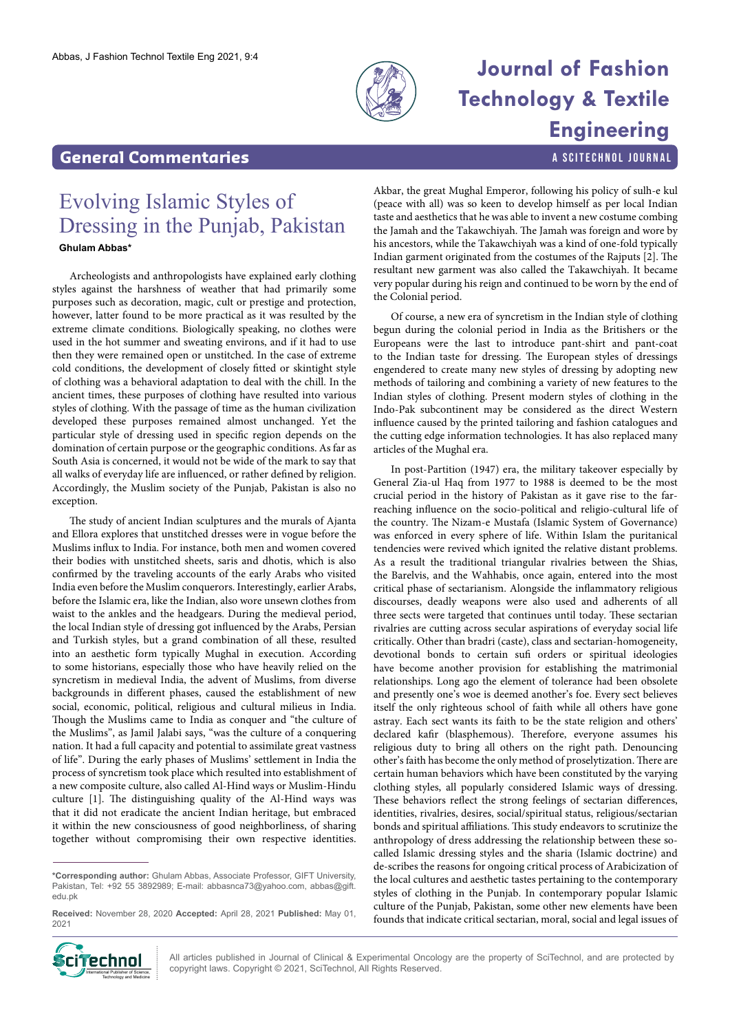

# **Journal of Fashion Technology & Textile Engineering**

a SciTechnol journal

### **General Commentaries**

# Evolving Islamic Styles of Dressing in the Punjab, Pakistan

### **Ghulam Abbas\***

Archeologists and anthropologists have explained early clothing styles against the harshness of weather that had primarily some purposes such as decoration, magic, cult or prestige and protection, however, latter found to be more practical as it was resulted by the extreme climate conditions. Biologically speaking, no clothes were used in the hot summer and sweating environs, and if it had to use then they were remained open or unstitched. In the case of extreme cold conditions, the development of closely fitted or skintight style of clothing was a behavioral adaptation to deal with the chill. In the ancient times, these purposes of clothing have resulted into various styles of clothing. With the passage of time as the human civilization developed these purposes remained almost unchanged. Yet the particular style of dressing used in specific region depends on the domination of certain purpose or the geographic conditions. As far as South Asia is concerned, it would not be wide of the mark to say that all walks of everyday life are influenced, or rather defined by religion. Accordingly, the Muslim society of the Punjab, Pakistan is also no exception.

The study of ancient Indian sculptures and the murals of Ajanta and Ellora explores that unstitched dresses were in vogue before the Muslims influx to India. For instance, both men and women covered their bodies with unstitched sheets, saris and dhotis, which is also confirmed by the traveling accounts of the early Arabs who visited India even before the Muslim conquerors. Interestingly, earlier Arabs, before the Islamic era, like the Indian, also wore unsewn clothes from waist to the ankles and the headgears. During the medieval period, the local Indian style of dressing got influenced by the Arabs, Persian and Turkish styles, but a grand combination of all these, resulted into an aesthetic form typically Mughal in execution. According to some historians, especially those who have heavily relied on the syncretism in medieval India, the advent of Muslims, from diverse backgrounds in different phases, caused the establishment of new social, economic, political, religious and cultural milieus in India. Though the Muslims came to India as conquer and "the culture of the Muslims", as Jamil Jalabi says, "was the culture of a conquering nation. It had a full capacity and potential to assimilate great vastness of life". During the early phases of Muslims' settlement in India the process of syncretism took place which resulted into establishment of a new composite culture, also called Al-Hind ways or Muslim-Hindu culture [1]. The distinguishing quality of the Al-Hind ways was that it did not eradicate the ancient Indian heritage, but embraced it within the new consciousness of good neighborliness, of sharing together without compromising their own respective identities.

**\*Corresponding author:** Ghulam Abbas, Associate Professor, GIFT University, Pakistan, Tel: +92 55 3892989; E-mail: abbasnca73@yahoo.com, abbas@gift. edu.pk

Akbar, the great Mughal Emperor, following his policy of sulh-e kul (peace with all) was so keen to develop himself as per local Indian taste and aesthetics that he was able to invent a new costume combing the Jamah and the Takawchiyah. The Jamah was foreign and wore by his ancestors, while the Takawchiyah was a kind of one-fold typically Indian garment originated from the costumes of the Rajputs [2]. The resultant new garment was also called the Takawchiyah. It became very popular during his reign and continued to be worn by the end of the Colonial period.

Of course, a new era of syncretism in the Indian style of clothing begun during the colonial period in India as the Britishers or the Europeans were the last to introduce pant-shirt and pant-coat to the Indian taste for dressing. The European styles of dressings engendered to create many new styles of dressing by adopting new methods of tailoring and combining a variety of new features to the Indian styles of clothing. Present modern styles of clothing in the Indo-Pak subcontinent may be considered as the direct Western influence caused by the printed tailoring and fashion catalogues and the cutting edge information technologies. It has also replaced many articles of the Mughal era.

In post-Partition (1947) era, the military takeover especially by General Zia-ul Haq from 1977 to 1988 is deemed to be the most crucial period in the history of Pakistan as it gave rise to the farreaching influence on the socio-political and religio-cultural life of the country. The Nizam-e Mustafa (Islamic System of Governance) was enforced in every sphere of life. Within Islam the puritanical tendencies were revived which ignited the relative distant problems. As a result the traditional triangular rivalries between the Shias, the Barelvis, and the Wahhabis, once again, entered into the most critical phase of sectarianism. Alongside the inflammatory religious discourses, deadly weapons were also used and adherents of all three sects were targeted that continues until today. These sectarian rivalries are cutting across secular aspirations of everyday social life critically. Other than bradri (caste), class and sectarian-homogeneity, devotional bonds to certain sufi orders or spiritual ideologies have become another provision for establishing the matrimonial relationships. Long ago the element of tolerance had been obsolete and presently one's woe is deemed another's foe. Every sect believes itself the only righteous school of faith while all others have gone astray. Each sect wants its faith to be the state religion and others' declared kafir (blasphemous). Therefore, everyone assumes his religious duty to bring all others on the right path. Denouncing other's faith has become the only method of proselytization. There are certain human behaviors which have been constituted by the varying clothing styles, all popularly considered Islamic ways of dressing. These behaviors reflect the strong feelings of sectarian differences, identities, rivalries, desires, social/spiritual status, religious/sectarian bonds and spiritual affiliations. This study endeavors to scrutinize the anthropology of dress addressing the relationship between these socalled Islamic dressing styles and the sharia (Islamic doctrine) and de-scribes the reasons for ongoing critical process of Arabicization of the local cultures and aesthetic tastes pertaining to the contemporary styles of clothing in the Punjab. In contemporary popular Islamic culture of the Punjab, Pakistan, some other new elements have been founds that indicate critical sectarian, moral, social and legal issues of



All articles published in Journal of Clinical & Experimental Oncology are the property of SciTechnol, and are protected by **Ciffechnol** All articles published in Journal of Clinical & Experimental Oncolo<br>copyright laws. Copyright © 2021, SciTechnol, All Rights Reserved.

**Received:** November 28, 2020 **Accepted:** April 28, 2021 **Published:** May 01, 2021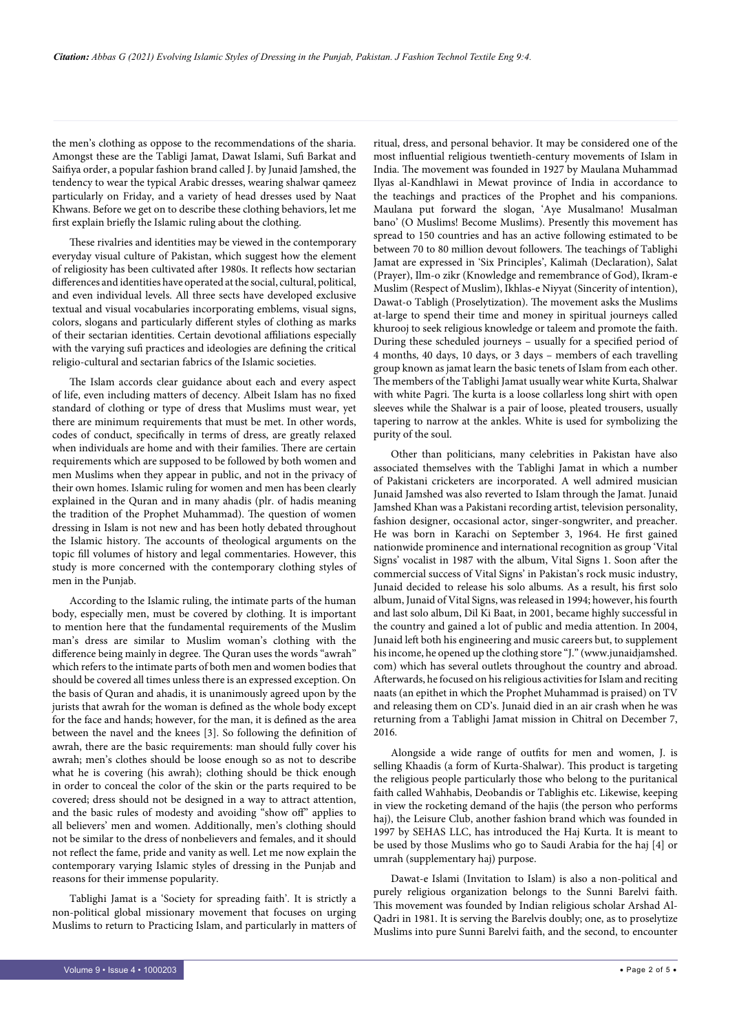the men's clothing as oppose to the recommendations of the sharia. Amongst these are the Tabligi Jamat, Dawat Islami, Sufi Barkat and Saifiya order, a popular fashion brand called J. by Junaid Jamshed, the tendency to wear the typical Arabic dresses, wearing shalwar qameez particularly on Friday, and a variety of head dresses used by Naat Khwans. Before we get on to describe these clothing behaviors, let me first explain briefly the Islamic ruling about the clothing.

These rivalries and identities may be viewed in the contemporary everyday visual culture of Pakistan, which suggest how the element of religiosity has been cultivated after 1980s. It reflects how sectarian differences and identities have operated at the social, cultural, political, and even individual levels. All three sects have developed exclusive textual and visual vocabularies incorporating emblems, visual signs, colors, slogans and particularly different styles of clothing as marks of their sectarian identities. Certain devotional affiliations especially with the varying sufi practices and ideologies are defining the critical religio-cultural and sectarian fabrics of the Islamic societies.

The Islam accords clear guidance about each and every aspect of life, even including matters of decency. Albeit Islam has no fixed standard of clothing or type of dress that Muslims must wear, yet there are minimum requirements that must be met. In other words, codes of conduct, specifically in terms of dress, are greatly relaxed when individuals are home and with their families. There are certain requirements which are supposed to be followed by both women and men Muslims when they appear in public, and not in the privacy of their own homes. Islamic ruling for women and men has been clearly explained in the Quran and in many ahadis (plr. of hadis meaning the tradition of the Prophet Muhammad). The question of women dressing in Islam is not new and has been hotly debated throughout the Islamic history. The accounts of theological arguments on the topic fill volumes of history and legal commentaries. However, this study is more concerned with the contemporary clothing styles of men in the Punjab.

According to the Islamic ruling, the intimate parts of the human body, especially men, must be covered by clothing. It is important to mention here that the fundamental requirements of the Muslim man's dress are similar to Muslim woman's clothing with the difference being mainly in degree. The Quran uses the words "awrah" which refers to the intimate parts of both men and women bodies that should be covered all times unless there is an expressed exception. On the basis of Quran and ahadis, it is unanimously agreed upon by the jurists that awrah for the woman is defined as the whole body except for the face and hands; however, for the man, it is defined as the area between the navel and the knees [3]. So following the definition of awrah, there are the basic requirements: man should fully cover his awrah; men's clothes should be loose enough so as not to describe what he is covering (his awrah); clothing should be thick enough in order to conceal the color of the skin or the parts required to be covered; dress should not be designed in a way to attract attention, and the basic rules of modesty and avoiding "show off" applies to all believers' men and women. Additionally, men's clothing should not be similar to the dress of nonbelievers and females, and it should not reflect the fame, pride and vanity as well. Let me now explain the contemporary varying Islamic styles of dressing in the Punjab and reasons for their immense popularity.

Tablighi Jamat is a 'Society for spreading faith'. It is strictly a non-political global missionary movement that focuses on urging Muslims to return to Practicing Islam, and particularly in matters of

ritual, dress, and personal behavior. It may be considered one of the most influential religious twentieth-century movements of Islam in India. The movement was founded in 1927 by Maulana Muhammad Ilyas al-Kandhlawi in Mewat province of India in accordance to the teachings and practices of the Prophet and his companions. Maulana put forward the slogan, 'Aye Musalmano! Musalman bano' (O Muslims! Become Muslims). Presently this movement has spread to 150 countries and has an active following estimated to be between 70 to 80 million devout followers. The teachings of Tablighi Jamat are expressed in 'Six Principles', Kalimah (Declaration), Salat (Prayer), Ilm-o zikr (Knowledge and remembrance of God), Ikram-e Muslim (Respect of Muslim), Ikhlas-e Niyyat (Sincerity of intention), Dawat-o Tabligh (Proselytization). The movement asks the Muslims at-large to spend their time and money in spiritual journeys called khurooj to seek religious knowledge or taleem and promote the faith. During these scheduled journeys – usually for a specified period of 4 months, 40 days, 10 days, or 3 days – members of each travelling group known as jamat learn the basic tenets of Islam from each other. The members of the Tablighi Jamat usually wear white Kurta, Shalwar with white Pagri. The kurta is a loose collarless long shirt with open sleeves while the Shalwar is a pair of loose, pleated trousers, usually tapering to narrow at the ankles. White is used for symbolizing the purity of the soul.

Other than politicians, many celebrities in Pakistan have also associated themselves with the Tablighi Jamat in which a number of Pakistani cricketers are incorporated. A well admired musician Junaid Jamshed was also reverted to Islam through the Jamat. Junaid Jamshed Khan was a Pakistani recording artist, television personality, fashion designer, occasional actor, singer-songwriter, and preacher. He was born in Karachi on September 3, 1964. He first gained nationwide prominence and international recognition as group 'Vital Signs' vocalist in 1987 with the album, Vital Signs 1. Soon after the commercial success of Vital Signs' in Pakistan's rock music industry, Junaid decided to release his solo albums. As a result, his first solo album, Junaid of Vital Signs, was released in 1994; however, his fourth and last solo album, Dil Ki Baat, in 2001, became highly successful in the country and gained a lot of public and media attention. In 2004, Junaid left both his engineering and music careers but, to supplement his income, he opened up the clothing store "J." (www.junaidjamshed. com) which has several outlets throughout the country and abroad. Afterwards, he focused on his religious activities for Islam and reciting naats (an epithet in which the Prophet Muhammad is praised) on TV and releasing them on CD's. Junaid died in an air crash when he was returning from a Tablighi Jamat mission in Chitral on December 7, 2016.

Alongside a wide range of outfits for men and women, J. is selling Khaadis (a form of Kurta-Shalwar). This product is targeting the religious people particularly those who belong to the puritanical faith called Wahhabis, Deobandis or Tablighis etc. Likewise, keeping in view the rocketing demand of the hajis (the person who performs haj), the Leisure Club, another fashion brand which was founded in 1997 by SEHAS LLC, has introduced the Haj Kurta. It is meant to be used by those Muslims who go to Saudi Arabia for the haj [4] or umrah (supplementary haj) purpose.

Dawat-e Islami (Invitation to Islam) is also a non-political and purely religious organization belongs to the Sunni Barelvi faith. This movement was founded by Indian religious scholar Arshad Al-Qadri in 1981. It is serving the Barelvis doubly; one, as to proselytize Muslims into pure Sunni Barelvi faith, and the second, to encounter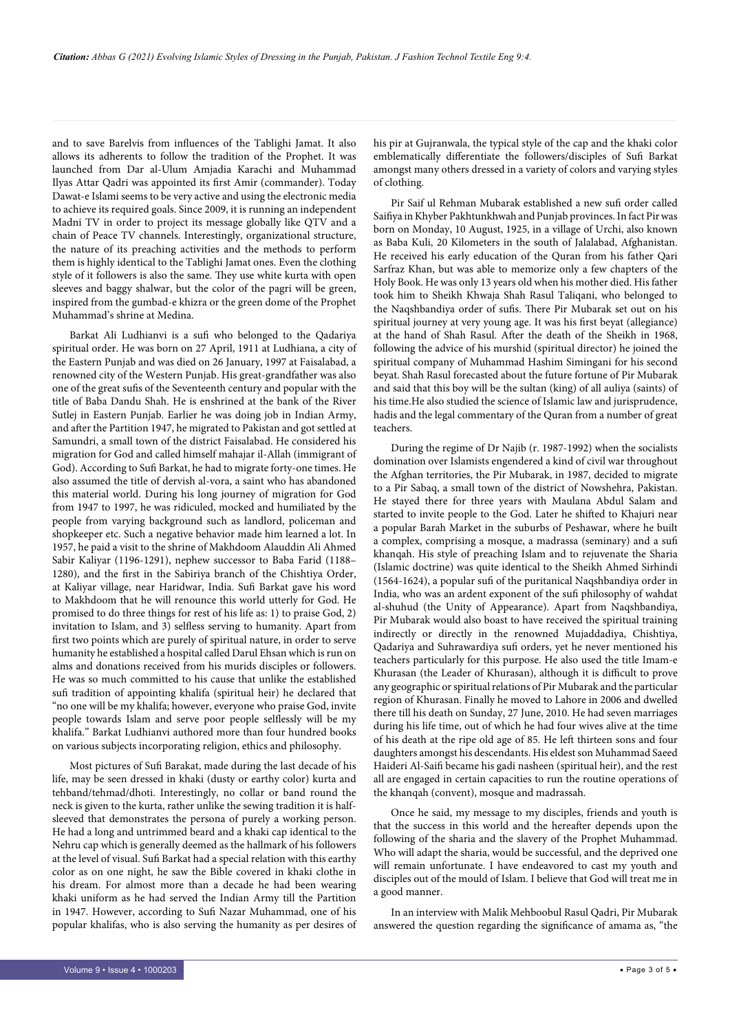and to save Barelvis from influences of the Tablighi Jamat. It also allows its adherents to follow the tradition of the Prophet. It was launched from Dar al-Ulum Amjadia Karachi and Muhammad Ilyas Attar Qadri was appointed its first Amir (commander). Today Dawat-e Islami seems to be very active and using the electronic media to achieve its required goals. Since 2009, it is running an independent Madni TV in order to project its message globally like QTV and a chain of Peace TV channels. Interestingly, organizational structure, the nature of its preaching activities and the methods to perform them is highly identical to the Tablighi Jamat ones. Even the clothing style of it followers is also the same. They use white kurta with open sleeves and baggy shalwar, but the color of the pagri will be green, inspired from the gumbad-e khizra or the green dome of the Prophet Muhammad's shrine at Medina.

Barkat Ali Ludhianvi is a sufi who belonged to the Qadariya spiritual order. He was born on 27 April, 1911 at Ludhiana, a city of the Eastern Punjab and was died on 26 January, 1997 at Faisalabad, a renowned city of the Western Punjab. His great-grandfather was also one of the great sufis of the Seventeenth century and popular with the title of Baba Dandu Shah. He is enshrined at the bank of the River Sutlej in Eastern Punjab. Earlier he was doing job in Indian Army, and after the Partition 1947, he migrated to Pakistan and got settled at Samundri, a small town of the district Faisalabad. He considered his migration for God and called himself mahajar il-Allah (immigrant of God). According to Sufi Barkat, he had to migrate forty-one times. He also assumed the title of dervish al-vora, a saint who has abandoned this material world. During his long journey of migration for God from 1947 to 1997, he was ridiculed, mocked and humiliated by the people from varying background such as landlord, policeman and shopkeeper etc. Such a negative behavior made him learned a lot. In 1957, he paid a visit to the shrine of Makhdoom Alauddin Ali Ahmed Sabir Kaliyar (1196-1291), nephew successor to Baba Farid (1188– 1280), and the first in the Sabiriya branch of the Chishtiya Order, at Kaliyar village, near Haridwar, India. Sufi Barkat gave his word to Makhdoom that he will renounce this world utterly for God. He promised to do three things for rest of his life as: 1) to praise God, 2) invitation to Islam, and 3) selfless serving to humanity. Apart from first two points which are purely of spiritual nature, in order to serve humanity he established a hospital called Darul Ehsan which is run on alms and donations received from his murids disciples or followers. He was so much committed to his cause that unlike the established sufi tradition of appointing khalifa (spiritual heir) he declared that "no one will be my khalifa; however, everyone who praise God, invite people towards Islam and serve poor people selflessly will be my khalifa." Barkat Ludhianvi authored more than four hundred books on various subjects incorporating religion, ethics and philosophy.

Most pictures of Sufi Barakat, made during the last decade of his life, may be seen dressed in khaki (dusty or earthy color) kurta and tehband/tehmad/dhoti. Interestingly, no collar or band round the neck is given to the kurta, rather unlike the sewing tradition it is halfsleeved that demonstrates the persona of purely a working person. He had a long and untrimmed beard and a khaki cap identical to the Nehru cap which is generally deemed as the hallmark of his followers at the level of visual. Sufi Barkat had a special relation with this earthy color as on one night, he saw the Bible covered in khaki clothe in his dream. For almost more than a decade he had been wearing khaki uniform as he had served the Indian Army till the Partition in 1947. However, according to Sufi Nazar Muhammad, one of his popular khalifas, who is also serving the humanity as per desires of his pir at Gujranwala, the typical style of the cap and the khaki color emblematically differentiate the followers/disciples of Sufi Barkat amongst many others dressed in a variety of colors and varying styles of clothing.

Pir Saif ul Rehman Mubarak established a new sufi order called Saifiya in Khyber Pakhtunkhwah and Punjab provinces. In fact Pir was born on Monday, 10 August, 1925, in a village of Urchi, also known as Baba Kuli, 20 Kilometers in the south of Jalalabad, Afghanistan. He received his early education of the Quran from his father Qari Sarfraz Khan, but was able to memorize only a few chapters of the Holy Book. He was only 13 years old when his mother died. His father took him to Sheikh Khwaja Shah Rasul Taliqani, who belonged to the Naqshbandiya order of sufis. There Pir Mubarak set out on his spiritual journey at very young age. It was his first beyat (allegiance) at the hand of Shah Rasul. After the death of the Sheikh in 1968, following the advice of his murshid (spiritual director) he joined the spiritual company of Muhammad Hashim Simingani for his second beyat. Shah Rasul forecasted about the future fortune of Pir Mubarak and said that this boy will be the sultan (king) of all auliya (saints) of his time.He also studied the science of Islamic law and jurisprudence, hadis and the legal commentary of the Quran from a number of great teachers.

During the regime of Dr Najib (r. 1987-1992) when the socialists domination over Islamists engendered a kind of civil war throughout the Afghan territories, the Pir Mubarak, in 1987, decided to migrate to a Pir Sabaq, a small town of the district of Nowshehra, Pakistan. He stayed there for three years with Maulana Abdul Salam and started to invite people to the God. Later he shifted to Khajuri near a popular Barah Market in the suburbs of Peshawar, where he built a complex, comprising a mosque, a madrassa (seminary) and a sufi khanqah. His style of preaching Islam and to rejuvenate the Sharia (Islamic doctrine) was quite identical to the Sheikh Ahmed Sirhindi (1564-1624), a popular sufi of the puritanical Naqshbandiya order in India, who was an ardent exponent of the sufi philosophy of wahdat al-shuhud (the Unity of Appearance). Apart from Naqshbandiya, Pir Mubarak would also boast to have received the spiritual training indirectly or directly in the renowned Mujaddadiya, Chishtiya, Qadariya and Suhrawardiya sufi orders, yet he never mentioned his teachers particularly for this purpose. He also used the title Imam-e Khurasan (the Leader of Khurasan), although it is difficult to prove any geographic or spiritual relations of Pir Mubarak and the particular region of Khurasan. Finally he moved to Lahore in 2006 and dwelled there till his death on Sunday, 27 June, 2010. He had seven marriages during his life time, out of which he had four wives alive at the time of his death at the ripe old age of 85. He left thirteen sons and four daughters amongst his descendants. His eldest son Muhammad Saeed Haideri Al-Saifi became his gadi nasheen (spiritual heir), and the rest all are engaged in certain capacities to run the routine operations of the khanqah (convent), mosque and madrassah.

Once he said, my message to my disciples, friends and youth is that the success in this world and the hereafter depends upon the following of the sharia and the slavery of the Prophet Muhammad. Who will adapt the sharia, would be successful, and the deprived one will remain unfortunate. I have endeavored to cast my youth and disciples out of the mould of Islam. I believe that God will treat me in a good manner.

In an interview with Malik Mehboobul Rasul Qadri, Pir Mubarak answered the question regarding the significance of amama as, "the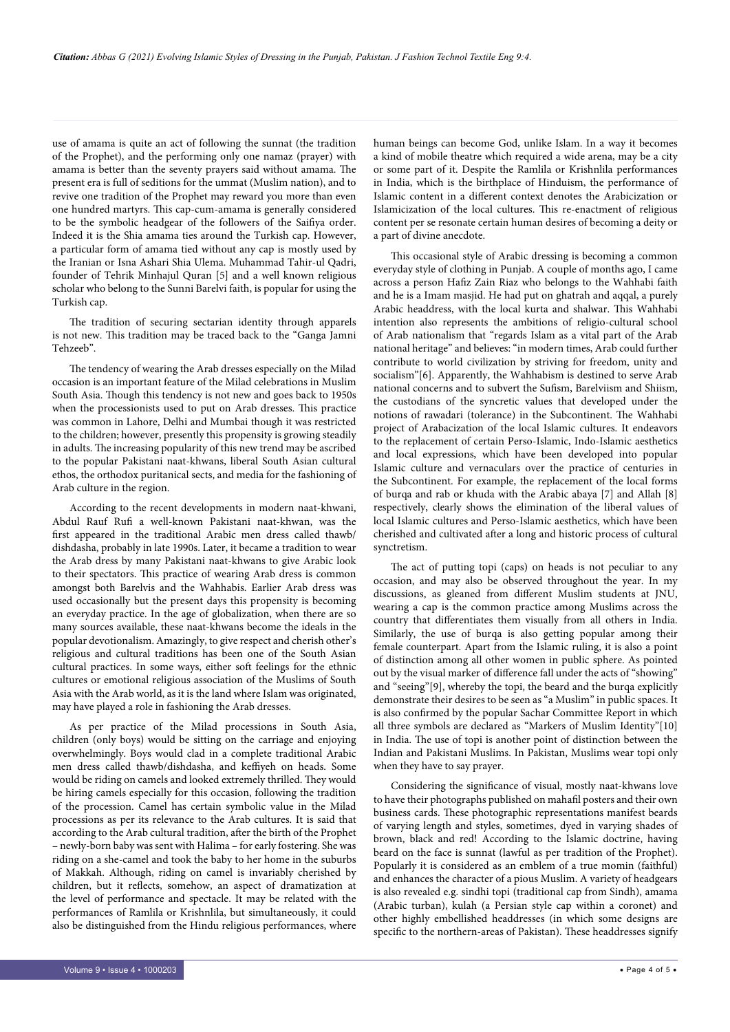use of amama is quite an act of following the sunnat (the tradition of the Prophet), and the performing only one namaz (prayer) with amama is better than the seventy prayers said without amama. The present era is full of seditions for the ummat (Muslim nation), and to revive one tradition of the Prophet may reward you more than even one hundred martyrs. This cap-cum-amama is generally considered to be the symbolic headgear of the followers of the Saifiya order. Indeed it is the Shia amama ties around the Turkish cap. However, a particular form of amama tied without any cap is mostly used by the Iranian or Isna Ashari Shia Ulema. Muhammad Tahir-ul Qadri, founder of Tehrik Minhajul Quran [5] and a well known religious scholar who belong to the Sunni Barelvi faith, is popular for using the Turkish cap.

The tradition of securing sectarian identity through apparels is not new. This tradition may be traced back to the "Ganga Jamni Tehzeeb".

The tendency of wearing the Arab dresses especially on the Milad occasion is an important feature of the Milad celebrations in Muslim South Asia. Though this tendency is not new and goes back to 1950s when the processionists used to put on Arab dresses. This practice was common in Lahore, Delhi and Mumbai though it was restricted to the children; however, presently this propensity is growing steadily in adults. The increasing popularity of this new trend may be ascribed to the popular Pakistani naat-khwans, liberal South Asian cultural ethos, the orthodox puritanical sects, and media for the fashioning of Arab culture in the region.

According to the recent developments in modern naat-khwani, Abdul Rauf Rufi a well-known Pakistani naat-khwan, was the first appeared in the traditional Arabic men dress called thawb/ dishdasha, probably in late 1990s. Later, it became a tradition to wear the Arab dress by many Pakistani naat-khwans to give Arabic look to their spectators. This practice of wearing Arab dress is common amongst both Barelvis and the Wahhabis. Earlier Arab dress was used occasionally but the present days this propensity is becoming an everyday practice. In the age of globalization, when there are so many sources available, these naat-khwans become the ideals in the popular devotionalism. Amazingly, to give respect and cherish other's religious and cultural traditions has been one of the South Asian cultural practices. In some ways, either soft feelings for the ethnic cultures or emotional religious association of the Muslims of South Asia with the Arab world, as it is the land where Islam was originated, may have played a role in fashioning the Arab dresses.

As per practice of the Milad processions in South Asia, children (only boys) would be sitting on the carriage and enjoying overwhelmingly. Boys would clad in a complete traditional Arabic men dress called thawb/dishdasha, and keffiyeh on heads. Some would be riding on camels and looked extremely thrilled. They would be hiring camels especially for this occasion, following the tradition of the procession. Camel has certain symbolic value in the Milad processions as per its relevance to the Arab cultures. It is said that according to the Arab cultural tradition, after the birth of the Prophet – newly-born baby was sent with Halima – for early fostering. She was riding on a she-camel and took the baby to her home in the suburbs of Makkah. Although, riding on camel is invariably cherished by children, but it reflects, somehow, an aspect of dramatization at the level of performance and spectacle. It may be related with the performances of Ramlila or Krishnlila, but simultaneously, it could also be distinguished from the Hindu religious performances, where human beings can become God, unlike Islam. In a way it becomes a kind of mobile theatre which required a wide arena, may be a city or some part of it. Despite the Ramlila or Krishnlila performances in India, which is the birthplace of Hinduism, the performance of Islamic content in a different context denotes the Arabicization or Islamicization of the local cultures. This re-enactment of religious content per se resonate certain human desires of becoming a deity or a part of divine anecdote.

This occasional style of Arabic dressing is becoming a common everyday style of clothing in Punjab. A couple of months ago, I came across a person Hafiz Zain Riaz who belongs to the Wahhabi faith and he is a Imam masjid. He had put on ghatrah and aqqal, a purely Arabic headdress, with the local kurta and shalwar. This Wahhabi intention also represents the ambitions of religio-cultural school of Arab nationalism that "regards Islam as a vital part of the Arab national heritage" and believes: "in modern times, Arab could further contribute to world civilization by striving for freedom, unity and socialism"[6]. Apparently, the Wahhabism is destined to serve Arab national concerns and to subvert the Sufism, Barelviism and Shiism, the custodians of the syncretic values that developed under the notions of rawadari (tolerance) in the Subcontinent. The Wahhabi project of Arabacization of the local Islamic cultures. It endeavors to the replacement of certain Perso-Islamic, Indo-Islamic aesthetics and local expressions, which have been developed into popular Islamic culture and vernaculars over the practice of centuries in the Subcontinent. For example, the replacement of the local forms of burqa and rab or khuda with the Arabic abaya [7] and Allah [8] respectively, clearly shows the elimination of the liberal values of local Islamic cultures and Perso-Islamic aesthetics, which have been cherished and cultivated after a long and historic process of cultural synctretism.

The act of putting topi (caps) on heads is not peculiar to any occasion, and may also be observed throughout the year. In my discussions, as gleaned from different Muslim students at JNU, wearing a cap is the common practice among Muslims across the country that differentiates them visually from all others in India. Similarly, the use of burqa is also getting popular among their female counterpart. Apart from the Islamic ruling, it is also a point of distinction among all other women in public sphere. As pointed out by the visual marker of difference fall under the acts of "showing" and "seeing"[9], whereby the topi, the beard and the burqa explicitly demonstrate their desires to be seen as "a Muslim" in public spaces. It is also confirmed by the popular Sachar Committee Report in which all three symbols are declared as "Markers of Muslim Identity"[10] in India. The use of topi is another point of distinction between the Indian and Pakistani Muslims. In Pakistan, Muslims wear topi only when they have to say prayer.

Considering the significance of visual, mostly naat-khwans love to have their photographs published on mahafil posters and their own business cards. These photographic representations manifest beards of varying length and styles, sometimes, dyed in varying shades of brown, black and red! According to the Islamic doctrine, having beard on the face is sunnat (lawful as per tradition of the Prophet). Popularly it is considered as an emblem of a true momin (faithful) and enhances the character of a pious Muslim. A variety of headgears is also revealed e.g. sindhi topi (traditional cap from Sindh), amama (Arabic turban), kulah (a Persian style cap within a coronet) and other highly embellished headdresses (in which some designs are specific to the northern-areas of Pakistan). These headdresses signify